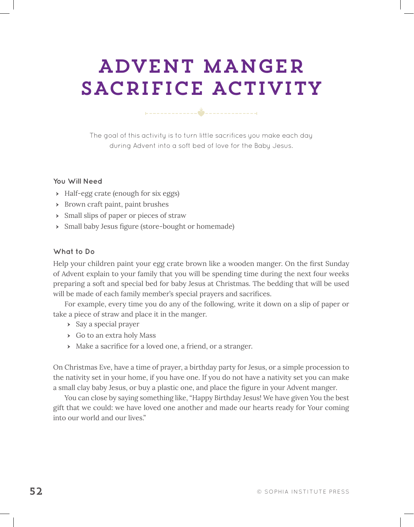# ADVENT MANGER SACRIFICE ACTIVITY

The goal of this activity is to turn little sacrifices you make each day during Advent into a soft bed of love for the Baby Jesus.

### **You Will Need**

- Half-egg crate (enough for six eggs)
- Brown craft paint, paint brushes
- Small slips of paper or pieces of straw
- Small baby Jesus fgure (store-bought or homemade)

#### **What to Do**

Help your children paint your egg crate brown like a wooden manger. On the first Sunday of Advent explain to your family that you will be spending time during the next four weeks preparing a soft and special bed for baby Jesus at Christmas. The bedding that will be used will be made of each family member's special prayers and sacrifces.

For example, every time you do any of the following, write it down on a slip of paper or take a piece of straw and place it in the manger.

- Say a special prayer
- Go to an extra holy Mass
- Make a sacrifce for a loved one, a friend, or a stranger.

On Christmas Eve, have a time of prayer, a birthday party for Jesus, or a simple procession to the nativity set in your home, if you have one. If you do not have a nativity set you can make a small clay baby Jesus, or buy a plastic one, and place the fgure in your Advent manger.

You can close by saying something like, "Happy Birthday Jesus! We have given You the best gift that we could: we have loved one another and made our hearts ready for Your coming into our world and our lives."